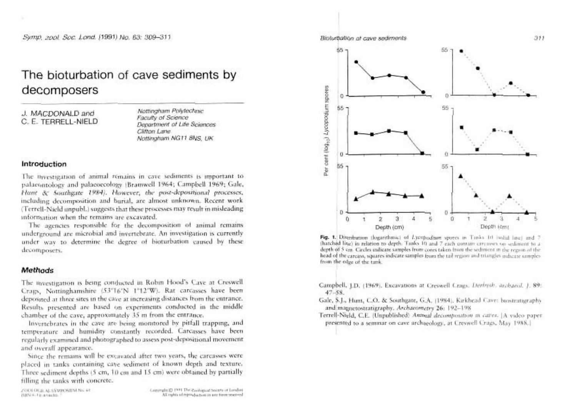# The bioturbation of cave sediments by decomposers

J. MACDONALD and C. E. TERRELL-NIELD

Nottingham Polytechnic Faculty of Science Department of Life Sciences Clifton Lane. Nottingham NGT1 8NS TIK

## Introduction

The thyestigation of animal remains in cave sediments is important to palaeontology and palaeoecology (Bramwell 1964; Campbell 1969; Gale, Hant & Southeate 1984). However, the post-depositional processes, including decomposition and barial, are almost unknown. Recent work (Terrell-Nield unpubl.) suggests that these processes may result in misleading information when the remains are excavated.

The agencies responsible for the decomposition of animal remains underground are microbial and invertebrate. An investigation is currently under way to determine the degree of bioturbation caused by these decomposers.

## Methods

The nyestigation is being conducted in Robin Hood's Cave at Creswell Crags, Nottinghamshire (53"16'N 1"12'W). Rat carcasses have been deposited at three sites in the cave at increasing distances from the entrance. Results presented are based on experiments conducted in the middle chamber of the cave, approximately 35 m from the entrance.

Invertebrates in the cave are being monitored by pitfall trapping, and temperature and humidity constantly recorded. Carcasses have been regularly examined and photographed to assess post-depositional movement and overall appearance.

Since the remains will be excavated after two years, the carcasses were placed in tanks containing cave sediment of known depth and texture. Three sediment depths (5 cm, 10 cm and 15 cm) were obtained by partially filling the tanks with concrete.

23330 OGILALSYMPOSIUM No. 44 ISBN H. To Lessabb.

Copyright @ 1991 The Rachapaut Society of Lundon All rights of reproduction in our form reserved



Biolustiation at cave sediments.

Fig. 1. Distribution (logarithmic) of Lycopodium spores in Tanks 10 isolad line) and 7 thatched line) in relation to depth. Tanks 10 and 7 each contain carcaves on sediment to a depth of 5 cm. Circles indicate samples from cores taken from the sediment in the region of the head of the carcass, squares indicate samples from the tail region and triangles indicate samples from the edge of the tank.

Campbell, LD. (1969). Excavations at Creswell Crags. Derbysh. archaeol. 1, 89:  $47 - 58$ .

Gale, S.J., Hunt, C.O. & Southgate, G.A. (1984). Kirkhead Cave: biostratigraphy and magnetostratigraphy. Archaeometry 26: 192-198

Terrell-Nield, C.E. (Unpublished) Antmal decomposition in catter. [A video paperpresented to a seminar on cave archaeology, at Creswell Crags, May 1988.]